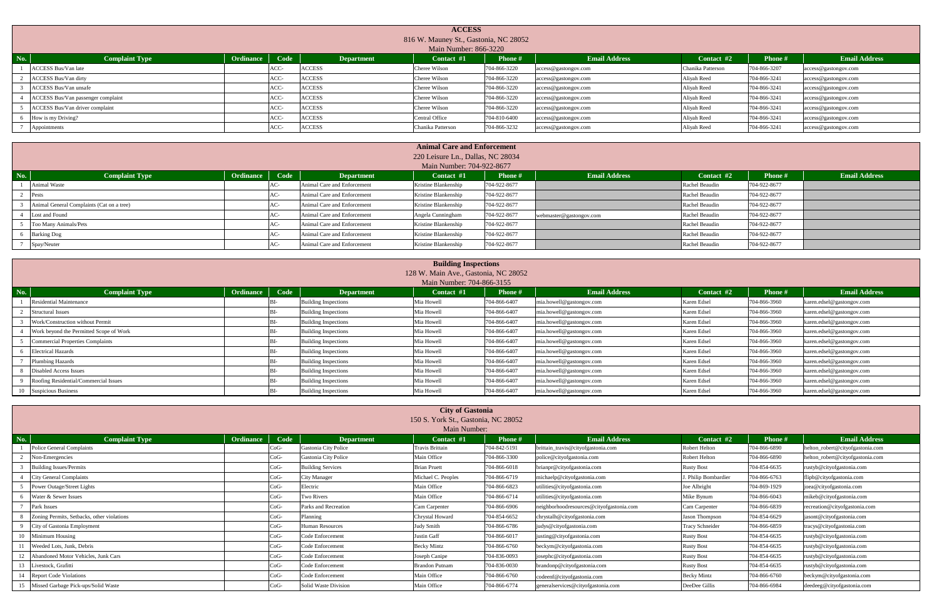|     | <b>ACCESS</b><br>816 W. Mauney St., Gastonia, NC 28052<br>Main Number: 866-3220                                                                                             |  |      |               |                       |              |                      |                   |              |                      |  |  |  |  |
|-----|-----------------------------------------------------------------------------------------------------------------------------------------------------------------------------|--|------|---------------|-----------------------|--------------|----------------------|-------------------|--------------|----------------------|--|--|--|--|
| No. | Ordinance Code<br><b>Email Address</b><br><b>Email Address</b><br>Contact #2<br><b>Complaint Type</b><br><b>Phone #</b><br><b>Phone#</b><br><b>Department</b><br>Contact #1 |  |      |               |                       |              |                      |                   |              |                      |  |  |  |  |
|     | <b>ACCESS Bus/Van late</b>                                                                                                                                                  |  | ACC- | <b>ACCESS</b> | Cheree Wilson         | 704-866-3220 | access@gastongov.com | Chanika Patterson | 704-866-3207 | access@gastongov.com |  |  |  |  |
|     | <b>ACCESS Bus/Van dirty</b>                                                                                                                                                 |  | ACC- | <b>ACCESS</b> | Cheree Wilson         | 704-866-3220 | access@gastongov.com | Aliyah Reed       | 704-866-3241 | access@gastongov.com |  |  |  |  |
|     | <b>ACCESS Bus/Van unsafe</b>                                                                                                                                                |  | ACC- | <b>ACCESS</b> | Cheree Wilson         | 704-866-3220 | access@gastongov.com | Aliyah Reed       | 704-866-3241 | access@gastongov.com |  |  |  |  |
|     | ACCESS Bus/Van passenger complaint                                                                                                                                          |  | ACC- | <b>ACCESS</b> | Cheree Wilson         | 704-866-3220 | access@gastongov.com | Aliyah Reed       | 704-866-3241 | access@gastongov.com |  |  |  |  |
|     | ACCESS Bus/Van driver complaint                                                                                                                                             |  | ACC- | <b>ACCESS</b> | Cheree Wilson         | 704-866-3220 | access@gastongov.com | Aliyah Reed       | 704-866-3241 | access@gastongov.com |  |  |  |  |
|     | How is my Driving?                                                                                                                                                          |  | ACC- | <b>ACCESS</b> | <b>Central Office</b> | 704-810-6400 | access@gastongov.com | Aliyah Reed       | 704-866-3241 | access@gastongov.com |  |  |  |  |
|     | Appointments                                                                                                                                                                |  | ACC- | <b>ACCESS</b> | Chanika Patterson     | 704-866-3232 | access@gastongov.com | Aliyah Reed       | 704-866-3241 | access@gastongov.com |  |  |  |  |

|              | <b>Animal Care and Enforcement</b>        |                |       |                             |                                   |                |                         |                |              |                      |  |  |  |
|--------------|-------------------------------------------|----------------|-------|-----------------------------|-----------------------------------|----------------|-------------------------|----------------|--------------|----------------------|--|--|--|
|              |                                           |                |       |                             | 220 Leisure Ln., Dallas, NC 28034 |                |                         |                |              |                      |  |  |  |
|              |                                           |                |       |                             | Main Number: 704-922-8677         |                |                         |                |              |                      |  |  |  |
| $\sqrt{N_0}$ | <b>Complaint Type</b>                     | Ordinance Code |       | <b>Department</b>           | Contact $#1$                      | <b>Phone #</b> | <b>Email Address</b>    | Contact #2     | Phone #      | <b>Email Address</b> |  |  |  |
|              | Animal Waste                              |                | $AC-$ | Animal Care and Enforcement | Kristine Blankenship              | 704-922-8677   |                         | Rachel Beaudin | 704-922-8677 |                      |  |  |  |
|              | Pests                                     |                | AC-   | Animal Care and Enforcement | Kristine Blankenship              | 704-922-8677   |                         | Rachel Beaudin | 704-922-8677 |                      |  |  |  |
|              | Animal General Complaints (Cat on a tree) |                | $AC-$ | Animal Care and Enforcement | Kristine Blankenship              | 704-922-8677   |                         | Rachel Beaudin | 704-922-8677 |                      |  |  |  |
|              | Lost and Found                            |                | AC-   | Animal Care and Enforcement | Angela Cunningham                 | 704-922-8677   | webmaster@gastongov.com | Rachel Beaudin | 704-922-8677 |                      |  |  |  |
|              | Too Many Animals/Pets                     |                | AC-   | Animal Care and Enforcement | Kristine Blankenship              | 704-922-8677   |                         | Rachel Beaudin | 704-922-8677 |                      |  |  |  |
|              | <b>Barking Dog</b>                        |                | AC-   | Animal Care and Enforcement | Kristine Blankenship              | 704-922-8677   |                         | Rachel Beaudin | 704-922-8677 |                      |  |  |  |
|              | Spay/Neuter                               |                | AC-   | Animal Care and Enforcement | Kristine Blankenship              | 704-922-8677   |                         | Rachel Beaudin | 704-922-8677 |                      |  |  |  |

|            | <b>Building Inspections</b><br>128 W. Main Ave., Gastonia, NC 28052 |           |      |                             |            |                |                          |             |                |                           |  |  |  |  |
|------------|---------------------------------------------------------------------|-----------|------|-----------------------------|------------|----------------|--------------------------|-------------|----------------|---------------------------|--|--|--|--|
|            |                                                                     |           |      |                             |            |                |                          |             |                |                           |  |  |  |  |
|            | Main Number: 704-866-3155                                           |           |      |                             |            |                |                          |             |                |                           |  |  |  |  |
| <b>No.</b> | <b>Complaint Type</b>                                               | Ordinance | Code | <b>Department</b>           | Contact #1 | <b>Phone</b> # | <b>Email Address</b>     | Contact #2  | <b>Phone</b> # | <b>Email Address</b>      |  |  |  |  |
|            | <b>Residential Maintenance</b>                                      |           |      | <b>Building Inspections</b> | Mia Howell | 704-866-6407   | nia.howell@gastongov.com | Karen Edsel | 704-866-3960   | karen.edsel@gastongov.com |  |  |  |  |
|            | <b>Structural Issues</b>                                            |           |      | <b>Building Inspections</b> | Mia Howell | 704-866-6407   | nia.howell@gastongov.com | Karen Edsel | 704-866-3960   | karen.edsel@gastongov.com |  |  |  |  |
|            | Work/Construction without Permit                                    |           |      | <b>Building Inspections</b> | Mia Howell | 704-866-6407   | mia.howell@gastongov.com | Karen Edsel | 704-866-3960   | karen.edsel@gastongov.com |  |  |  |  |
|            | Work beyond the Permitted Scope of Work                             |           |      | <b>Building Inspections</b> | Mia Howell | 704-866-6407   | mia.howell@gastongov.com | Karen Edsel | 704-866-3960   | karen.edsel@gastongov.com |  |  |  |  |
|            | <b>Commercial Properties Complaints</b>                             |           |      | <b>Building Inspections</b> | Mia Howell | 704-866-6407   | nia.howell@gastongov.com | Karen Edsel | 704-866-3960   | karen.edsel@gastongov.com |  |  |  |  |
|            | <b>Electrical Hazards</b>                                           |           |      | <b>Building Inspections</b> | Mia Howell | 704-866-6407   | mia.howell@gastongov.com | Karen Edsel | 704-866-3960   | karen.edsel@gastongov.com |  |  |  |  |
|            | <b>Plumbing Hazards</b>                                             |           |      | <b>Building Inspections</b> | Mia Howell | 704-866-6407   | mia.howell@gastongov.com | Karen Edsel | 704-866-3960   | karen.edsel@gastongov.com |  |  |  |  |
|            | <b>Disabled Access Issues</b>                                       |           |      | <b>Building Inspections</b> | Mia Howell | 704-866-6407   | mia.howell@gastongov.com | Karen Edsel | 704-866-3960   | karen.edsel@gastongov.com |  |  |  |  |
|            | Roofing Residential/Commercial Issues                               |           |      | <b>Building Inspections</b> | Mia Howell | 704-866-6407   | mia.howell@gastongov.com | Karen Edsel | 704-866-3960   | karen.edsel@gastongov.com |  |  |  |  |
|            | 10 Suspicious Business                                              |           |      | <b>Building Inspections</b> | Mia Howell | 704-866-6407   | mia.howell@gastongov.com | Karen Edsel | 704-866-3960   | karen.edsel@gastongov.com |  |  |  |  |

|                                            | <b>City of Gastonia</b> |        |                          |                                     |              |                                          |                     |              |                                  |  |  |  |  |
|--------------------------------------------|-------------------------|--------|--------------------------|-------------------------------------|--------------|------------------------------------------|---------------------|--------------|----------------------------------|--|--|--|--|
|                                            |                         |        |                          | 150 S. York St., Gastonia, NC 28052 |              |                                          |                     |              |                                  |  |  |  |  |
|                                            |                         |        |                          | Main Number:                        |              |                                          |                     |              |                                  |  |  |  |  |
| No.<br>Complaint Type                      | <b>Ordinance</b>        | Code   | <b>Department</b>        | Contact $#1$                        | Phone #      | <b>Email Address</b>                     | Contact #2          | Phone #      | <b>Email Address</b>             |  |  |  |  |
| Police General Complaints                  |                         | -Oo'   | Gastonia City Police     | Travis Brittain                     | 704-842-5191 | brittain_travis@cityofgastonia.com       | Robert Helton       | 704-866-6890 | helton_robert@cityofgastonia.com |  |  |  |  |
| Non-Emergencies                            |                         | -Oo'   | Gastonia City Police     | Main Office                         | 704-866-3300 | police@cityofgastonia.com                | Robert Helton       | 704-866-6890 | helton_robert@cityofgastonia.com |  |  |  |  |
| <b>Building Issues/Permits</b>             |                         | -boC   | <b>Building Services</b> | <b>Brian Pruett</b>                 | 704-866-6018 | brianpr@cityofgastonia.com               | <b>Rusty Bost</b>   | 704-854-6635 | rustyb@cityofgastonia.com        |  |  |  |  |
| City General Complaints                    |                         | -Oo'   | <b>City Manager</b>      | Michael C. Peoples                  | 704-866-6719 | michaelp@cityofgastonia.com              | . Philip Bombardier | 704-866-6763 | flipb@cityofgastonia.com         |  |  |  |  |
| Power Outage/Street Lights                 |                         | -CoC   | Electric                 | Main Office                         | 704-866-6823 | utilities@cityofgastonia.com             | Joe Albright        | 704-869-1929 | joea@cityofgastonia.com          |  |  |  |  |
| Water & Sewer Issues                       |                         | 'oG-   | Two Rivers               | Main Office                         | 704-866-6714 | utilities@cityofgastonia.com             | Mike Bynum          | 704-866-6043 | nikeb@cityofgastonia.com         |  |  |  |  |
| Park Issues                                |                         | -Oo'   | Parks and Recreation     | Cam Carpenter                       | 704-866-6906 | neighborhoodresources@cityofgastonia.com | Cam Carpenter       | 704-866-6839 | recreation@cityofgastonia.com    |  |  |  |  |
| Zoning Permits, Setbacks, other violations |                         | -CoC   | Planning                 | Chrystal Howard                     | 704-854-6652 | chrystalh@cityofgastonia.com             | Jason Thompson      | 704-854-6629 | jasont@cityofgastonia.com        |  |  |  |  |
| City of Gastonia Employment                |                         | -Oo'   | <b>Human Resources</b>   | Judy Smith                          | 704-866-6786 | judys@cityofgastonia.com                 | Tracy Schneider     | 704-866-6859 | tracys@cityofgastonia.com        |  |  |  |  |
| 10<br>Minimum Housing                      |                         | -Oo'   | Code Enforcement         | Justin Gaff                         | 704-866-6017 | justing@cityofgastonia.com               | Rusty Bost          | 704-854-6635 | rustyb@cityofgastonia.com        |  |  |  |  |
| Weeded Lots, Junk, Debris                  |                         | -oG    | Code Enforcement         | Becky Mintz                         | 704-866-6760 | beckym@cityofgastonia.com                | <b>Rusty Bost</b>   | 704-854-6635 | rustyb@cityofgastonia.com        |  |  |  |  |
| Abandoned Motor Vehicles, Junk Cars        |                         | -CoC   | Code Enforcement         | Joseph Canipe                       | 704-836-0093 | josephc@cityofgastonia.com               | <b>Rusty Bost</b>   | 704-854-6635 | rustyb@cityofgastonia.com        |  |  |  |  |
| 13<br>Livestock, Grafitti                  |                         | $CoG-$ | Code Enforcement         | <b>Brandon Putnam</b>               | 704-836-0030 | brandonp@cityofgastonia.com              | <b>Rusty Bost</b>   | 704-854-6635 | rustyb@cityofgastonia.com        |  |  |  |  |
| 14<br><b>Report Code Violations</b>        |                         | $CoG-$ | Code Enforcement         | Main Office                         | 704-866-6760 | codeenf@cityofgastonia.com               | <b>Becky Mintz</b>  | 704-866-6760 | beckym@cityofgastonia.com        |  |  |  |  |
| 15<br>Missed Garbage Pick-ups/Solid Waste  |                         | $CoG-$ | Solid Waste Division     | Main Office                         | 704-866-6774 | generalservices@cityofgastonia.com       | DeeDee Gillis       | 704-866-6984 | deedeeg@cityofgastonia.com       |  |  |  |  |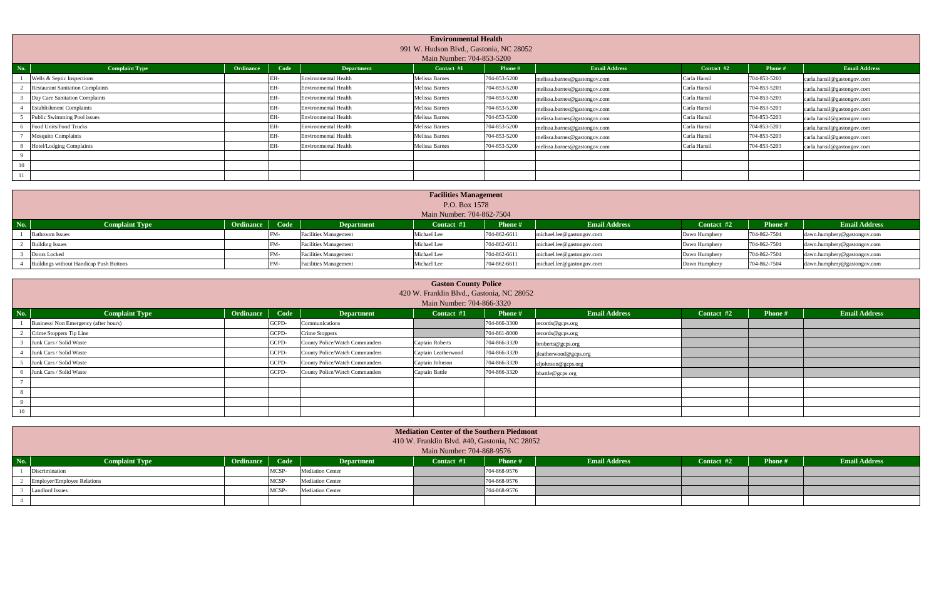|     | <b>Environmental Health</b><br>991 W. Hudson Blvd., Gastonia, NC 28052<br>Main Number: 704-853-5200 |           |      |                             |                       |              |                              |              |              |                            |  |  |  |  |
|-----|-----------------------------------------------------------------------------------------------------|-----------|------|-----------------------------|-----------------------|--------------|------------------------------|--------------|--------------|----------------------------|--|--|--|--|
| No. | <b>Complaint Type</b>                                                                               | Ordinance | Code | <b>Department</b>           | Contact #1            | Phone #      | <b>Email Address</b>         | Contact #2   | Phone #      | <b>Email Address</b>       |  |  |  |  |
|     | Wells & Septic Inspections                                                                          |           |      | <b>Environmental Health</b> | <b>Melissa Barnes</b> | 704-853-5200 | melissa.barnes@gastongov.com | Carla Hansil | 704-853-5203 | carla.hansil@gastongov.com |  |  |  |  |
|     | <b>Restaurant Sanitation Complaints</b>                                                             |           |      | <b>Environmental Health</b> | Melissa Barnes        | 704-853-5200 | melissa.barnes@gastongov.com | Carla Hansil | 704-853-5203 | carla.hansil@gastongov.com |  |  |  |  |
|     | Day Care Sanitation Complaints                                                                      |           |      | <b>Environmental Health</b> | <b>Melissa Barnes</b> | 704-853-5200 | melissa.barnes@gastongov.com | Carla Hansil | 704-853-5203 | carla.hansil@gastongov.com |  |  |  |  |
|     | <b>Establishment Complaints</b>                                                                     |           |      | <b>Environmental Health</b> | Melissa Barnes        | 704-853-5200 | melissa.barnes@gastongov.com | Carla Hansil | 704-853-5203 | carla.hansil@gastongov.com |  |  |  |  |
|     | Public Swimming Pool issues                                                                         |           | FH-  | <b>Environmental Health</b> | Melissa Barnes        | 704-853-5200 | melissa.barnes@gastongov.com | Carla Hansil | 704-853-5203 | carla.hansil@gastongov.com |  |  |  |  |
|     | Food Units/Food Trucks                                                                              |           |      | <b>Environmental Health</b> | Melissa Barnes        | 704-853-5200 | melissa.barnes@gastongov.com | Carla Hansil | 704-853-5203 | carla.hansil@gastongov.com |  |  |  |  |
|     | <b>Mosquito Complaints</b>                                                                          |           | EH-  | <b>Environmental Health</b> | <b>Melissa Barnes</b> | 704-853-5200 | melissa.barnes@gastongov.com | Carla Hansil | 704-853-5203 | carla.hansil@gastongov.com |  |  |  |  |
|     | Hotel/Lodging Complaints                                                                            |           |      | <b>Environmental Health</b> | Melissa Barnes        | 704-853-5200 | melissa.barnes@gastongov.com | Carla Hansil | 704-853-5203 | carla.hansil@gastongov.com |  |  |  |  |
|     |                                                                                                     |           |      |                             |                       |              |                              |              |              |                            |  |  |  |  |
| 10  |                                                                                                     |           |      |                             |                       |              |                              |              |              |                            |  |  |  |  |
| 11  |                                                                                                     |           |      |                             |                       |              |                              |              |              |                            |  |  |  |  |

|     | <b>Facilities Management</b>            |                |  |                              |               |                |                           |               |              |                             |  |  |  |
|-----|-----------------------------------------|----------------|--|------------------------------|---------------|----------------|---------------------------|---------------|--------------|-----------------------------|--|--|--|
|     |                                         |                |  |                              | P.O. Box 1578 |                |                           |               |              |                             |  |  |  |
|     | Main Number: 704-862-7504               |                |  |                              |               |                |                           |               |              |                             |  |  |  |
| No. | <b>Complaint Type</b>                   | Ordinance Code |  | <b>Department</b>            | Contact #1    | <b>Phone #</b> | <b>Email Address</b>      | Contact #2    | Phone#       | <b>Email Address</b>        |  |  |  |
|     | <b>Bathroom Issues</b>                  |                |  | <b>Facilities Management</b> | Michael Lee   | 704-862-6611   | michael.lee@gastongov.com | Dawn Humphery | 704-862-7504 | dawn.humphery@gastongov.com |  |  |  |
|     | <b>Building Issues</b>                  |                |  | <b>Facilities Management</b> | Michael Lee   | 704-862-6611   | michael.lee@gastongov.com | Dawn Humphery | 704-862-7504 | dawn.humphery@gastongov.com |  |  |  |
|     | Doors Locked                            |                |  | <b>Facilities Management</b> | Michael Lee   | 704-862-6611   | michael.lee@gastongov.com | Dawn Humphery | 704-862-7504 | dawn.humphery@gastongov.com |  |  |  |
|     | Buildings without Handicap Push Buttons |                |  | <b>Facilities Management</b> | Michael Lee   | 704-862-6611   | michael.lee@gastongov.com | Dawn Humphery | 704-862-7504 | dawn.humphery@gastongov.com |  |  |  |

|          |                                      |           |       |                                       | <b>Gaston County Police</b>               |              |                       |            |         |                      |  |  |  |  |
|----------|--------------------------------------|-----------|-------|---------------------------------------|-------------------------------------------|--------------|-----------------------|------------|---------|----------------------|--|--|--|--|
|          |                                      |           |       |                                       | 420 W. Franklin Blvd., Gastonia, NC 28052 |              |                       |            |         |                      |  |  |  |  |
|          | Main Number: 704-866-3320            |           |       |                                       |                                           |              |                       |            |         |                      |  |  |  |  |
| No.      | <b>Complaint Type</b>                | Ordinance | Code  | <b>Department</b>                     | Contact #1                                | Phone #      | <b>Email Address</b>  | Contact #2 | Phone # | <b>Email Address</b> |  |  |  |  |
|          | Business/Non Emergency (after hours) |           | GCPD- | Communications                        |                                           | 704-866-3300 | records@gcps.org      |            |         |                      |  |  |  |  |
|          | Crime Stoppers Tip Line              |           | GCPD- | Crime Stoppers                        |                                           | 704-861-8000 | records@gcps.org      |            |         |                      |  |  |  |  |
|          | Junk Cars / Solid Waste              |           | GCPD- | County Police/Watch Commanders        | Captain Roberts                           | 704-866-3320 | broberts@gcps.org     |            |         |                      |  |  |  |  |
|          | Junk Cars / Solid Waste              |           | GCPD- | <b>County Police/Watch Commanders</b> | Captain Leatherwood                       | 704-866-3320 | jleatherwood@gcps.org |            |         |                      |  |  |  |  |
|          | Junk Cars / Solid Waste              |           | GCPD- | <b>County Police/Watch Commanders</b> | Captain Johnson                           | 704-866-3320 | eljohnson@gcps.org    |            |         |                      |  |  |  |  |
|          | Junk Cars / Solid Waste              |           | GCPD- | County Police/Watch Commanders        | Captain Battle                            | 704-866-3320 | bbattle@gcps.org      |            |         |                      |  |  |  |  |
|          |                                      |           |       |                                       |                                           |              |                       |            |         |                      |  |  |  |  |
|          |                                      |           |       |                                       |                                           |              |                       |            |         |                      |  |  |  |  |
| $\Omega$ |                                      |           |       |                                       |                                           |              |                       |            |         |                      |  |  |  |  |
| 10       |                                      |           |       |                                       |                                           |              |                       |            |         |                      |  |  |  |  |

|     | <b>Mediation Center of the Southern Piedmont</b><br>410 W. Franklin Blvd. #40, Gastonia, NC 28052<br>Main Number: 704-868-9576                                                  |  |       |                         |  |              |  |  |  |  |  |  |  |  |
|-----|---------------------------------------------------------------------------------------------------------------------------------------------------------------------------------|--|-------|-------------------------|--|--------------|--|--|--|--|--|--|--|--|
| No. | Code<br>Ordinance<br><b>Email Address</b><br><b>Complaint Type</b><br><b>Email Address</b><br>Phone #<br><b>Phone #</b><br><b>Contact #2</b><br>Contact #1<br><b>Department</b> |  |       |                         |  |              |  |  |  |  |  |  |  |  |
|     | Discrimination<br>MCSP-<br>704-868-9576<br><b>Mediation Center</b>                                                                                                              |  |       |                         |  |              |  |  |  |  |  |  |  |  |
|     | Employer/Employee Relations                                                                                                                                                     |  | MCSP- | <b>Mediation Center</b> |  | 704-868-9576 |  |  |  |  |  |  |  |  |
|     | 704-868-9576<br><b>Landlord Issues</b><br>MCSP-<br><b>Mediation Center</b>                                                                                                      |  |       |                         |  |              |  |  |  |  |  |  |  |  |
|     |                                                                                                                                                                                 |  |       |                         |  |              |  |  |  |  |  |  |  |  |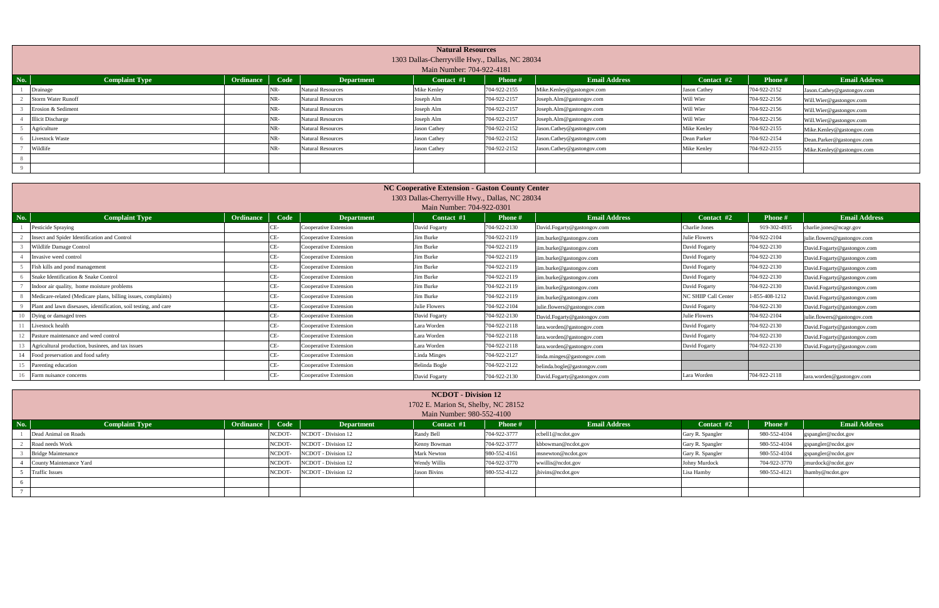|     |                                                                                                                                                                   |  |     |                          | <b>Natural Resources</b> |              |                            |              |              |                            |  |  |  |  |
|-----|-------------------------------------------------------------------------------------------------------------------------------------------------------------------|--|-----|--------------------------|--------------------------|--------------|----------------------------|--------------|--------------|----------------------------|--|--|--|--|
|     | 1303 Dallas-Cherryville Hwy., Dallas, NC 28034                                                                                                                    |  |     |                          |                          |              |                            |              |              |                            |  |  |  |  |
|     | Main Number: 704-922-4181                                                                                                                                         |  |     |                          |                          |              |                            |              |              |                            |  |  |  |  |
| No. | Ordinance<br>Code<br><b>Email Address</b><br><b>Email Address</b><br><b>Complaint Type</b><br>Phone #<br><b>Department</b><br>Contact #1<br>Contact #2<br>Phone # |  |     |                          |                          |              |                            |              |              |                            |  |  |  |  |
|     | Drainage                                                                                                                                                          |  | NR- | <b>Natural Resources</b> | Mike Kenley              | 704-922-2155 | Mike.Kenley@gastongov.com  | Jason Cathey | 704-922-2152 | Jason.Cathey@gastongov.com |  |  |  |  |
|     | <b>Storm Water Runoff</b>                                                                                                                                         |  | NR- | <b>Natural Resources</b> | Joseph Alm               | 704-922-2157 | Joseph.Alm@gastongov.com   | Will Wier    | 704-922-2156 | Will.Wier@gastongov.com    |  |  |  |  |
|     | Erosion & Sediment                                                                                                                                                |  | NR- | <b>Natural Resources</b> | Joseph Alm               | 704-922-2157 | Joseph.Alm@gastongov.com   | Will Wier    | 704-922-2156 | Will.Wier@gastongov.com    |  |  |  |  |
|     | <b>Illicit Discharge</b>                                                                                                                                          |  | NR- | <b>Natural Resources</b> | Joseph Alm               | 704-922-2157 | Joseph.Alm@gastongov.com   | Will Wier    | 704-922-2156 | Will.Wier@gastongov.com    |  |  |  |  |
|     | Agriculture                                                                                                                                                       |  | NR- | <b>Natural Resources</b> | Jason Cathey             | 704-922-2152 | Jason.Cathey@gastongov.com | Mike Kenley  | 704-922-2155 | Mike.Kenley@gastongov.com  |  |  |  |  |
|     | Livestock Waste                                                                                                                                                   |  | NR- | <b>Natural Resources</b> | Jason Cathey             | 704-922-2152 | Jason.Cathey@gastongov.com | Dean Parker  | 704-922-2154 | Dean.Parker@gastongov.com  |  |  |  |  |
|     | Wildlife                                                                                                                                                          |  | NR- | <b>Natural Resources</b> | Jason Cathey             | 704-922-2152 | Jason.Cathey@gastongov.com | Mike Kenley  | 704-922-2155 | Mike.Kenley@gastongov.com  |  |  |  |  |
|     |                                                                                                                                                                   |  |     |                          |                          |              |                            |              |              |                            |  |  |  |  |
|     |                                                                                                                                                                   |  |     |                          |                          |              |                            |              |              |                            |  |  |  |  |

|                                                                  |                  |      |                       | 1303 Dallas-Cherryville Hwy., Dallas, NC 28034 |               |                             |                      |                |                             |
|------------------------------------------------------------------|------------------|------|-----------------------|------------------------------------------------|---------------|-----------------------------|----------------------|----------------|-----------------------------|
|                                                                  |                  |      |                       | Main Number: 704-922-0301                      |               |                             |                      |                |                             |
| <b>Complaint Type</b>                                            | <b>Ordinance</b> | Code | <b>Department</b>     | Contact #1                                     | <b>Phone#</b> | <b>Email Address</b>        | Contact #2           | <b>Phone #</b> | <b>Email Address</b>        |
| Pesticide Spraying                                               |                  | CE-  | Cooperative Extension | David Fogarty                                  | 704-922-2130  | David.Fogarty@gastongov.com | Charlie Jones        | 919-302-4935   | charlie.jones@ncagr.gov     |
| Insect and Spider Identification and Control                     |                  |      | Cooperative Extension | Jim Burke                                      | 704-922-2119  | im.burke@gastongov.com      | Julie Flowers        | 704-922-2104   | julie.flowers@gastongov.com |
| Wildlife Damage Control                                          |                  | CE-  | Cooperative Extension | Jim Burke                                      | 704-922-2119  | im.burke@gastongov.com      | David Fogarty        | 704-922-2130   | David.Fogarty@gastongov.com |
| Invasive weed control                                            |                  | CE-  | Cooperative Extension | Jim Burke                                      | 704-922-2119  | im.burke@gastongov.com      | David Fogarty        | 704-922-2130   | David.Fogarty@gastongov.com |
| Fish kills and pond management                                   |                  | CE-  | Cooperative Extension | Iim Burke                                      | 704-922-2119  | jim.burke@gastongov.com     | David Fogarty        | 704-922-2130   | David.Fogarty@gastongov.com |
| Snake Identification & Snake Control                             |                  | CE-  | Cooperative Extension | Jim Burke                                      | 704-922-2119  | jim.burke@gastongov.com     | David Fogarty        | 704-922-2130   | David.Fogarty@gastongov.com |
| Indoor air quality, home moisture problems                       |                  | CE-  | Cooperative Extension | Jim Burke                                      | 704-922-2119  | jim.burke@gastongov.com     | David Fogarty        | 704-922-2130   | David.Fogarty@gastongov.com |
| Medicare-related (Medicare plans, billing issues, complaints)    |                  |      | Cooperative Extension | Jim Burke                                      | 704-922-2119  | im.burke@gastongov.com      | NC SHIIP Call Center | 1-855-408-1212 | David.Fogarty@gastongov.com |
| Plant and lawn disesases, identification, soil testing, and care |                  |      | Cooperative Extension | Julie Flowers                                  | 704-922-2104  | julie.flowers@gastongov.com | David Fogarty        | 704-922-2130   | David.Fogarty@gastongov.com |
| Dying or damaged trees                                           |                  |      | Cooperative Extension | David Fogarty                                  | 704-922-2130  | David.Fogarty@gastongov.com | Julie Flowers        | 704-922-2104   | julie.flowers@gastongov.com |
| Livestock health                                                 |                  |      | Cooperative Extension | Lara Worden                                    | 704-922-2118  | lara.worden@gastongov.com   | David Fogarty        | 704-922-2130   | David.Fogarty@gastongov.com |
| Pasture maintenance and weed control                             |                  | CE-  | Cooperative Extension | Lara Worden                                    | 704-922-2118  | lara.worden@gastongov.com   | David Fogarty        | 704-922-2130   | David.Fogarty@gastongov.com |
| Agricultural production, businees, and tax issues                |                  | CE-  | Cooperative Extension | Lara Worden                                    | 704-922-2118  | lara.worden@gastongov.com   | David Fogarty        | 704-922-2130   | David.Fogarty@gastongov.com |
| Food preservation and food safety                                |                  | CE-  | Cooperative Extension | Linda Minges                                   | 704-922-2127  | linda.minges@gastongov.com  |                      |                |                             |
| Parenting education                                              |                  | CE-  | Cooperative Extension | Belinda Bogle                                  | 704-922-2122  | belinda.bogle@gastongov.com |                      |                |                             |
| Farm nuisance concerns                                           |                  | CE-  | Cooperative Extension | David Fogarty                                  | 704-922-2130  | David.Fogarty@gastongov.com | Lara Worden          | 704-922-2118   | lara.worden@gastongov.com   |

|         | <b>NCDOT</b> - Division 12 |           |        |                     |                                     |               |                      |                  |               |                      |  |  |  |
|---------|----------------------------|-----------|--------|---------------------|-------------------------------------|---------------|----------------------|------------------|---------------|----------------------|--|--|--|
|         |                            |           |        |                     | 1702 E. Marion St, Shelby, NC 28152 |               |                      |                  |               |                      |  |  |  |
|         |                            |           |        |                     | Main Number: 980-552-4100           |               |                      |                  |               |                      |  |  |  |
| $N_0$ . | <b>Complaint Type</b>      | Ordinance | Code   | <b>Department</b>   | Contact #1                          | <b>Phone#</b> | <b>Email Address</b> | Contact #2       | <b>Phone#</b> | <b>Email Address</b> |  |  |  |
|         | Dead Animal on Roads       |           | NCDOT- | NCDOT - Division 12 | Randy Bell                          | 704-922-3777  | rcbell1@ncdot.gov    | Gary R. Spangler | 980-552-4104  | gspangler@ncdot.gov  |  |  |  |
|         | Road needs Work            |           | NCDOT- | NCDOT - Division 12 | Kenny Bowman                        | 704-922-3777  | kbbowman@ncdot.gov   | Gary R. Spangler | 980-552-4104  | gspangler@ncdot.gov  |  |  |  |
|         | <b>Bridge Maintenance</b>  |           | NCDOT- | NCDOT - Division 12 | <b>Mark Newton</b>                  | 980-552-4161  | msnewton@ncdot.gov   | Gary R. Spangler | 980-552-4104  | gspangler@ncdot.gov  |  |  |  |
|         | County Maintenance Yard    |           | NCDOT- | NCDOT - Division 12 | Wendy Willis                        | 704-922-3770  | wwillis@ncdot.gov    | Johny Murdock    | 704-922-3770  | murdock@ncdot.gov    |  |  |  |
|         | <b>Traffic Issues</b>      |           | NCDOT- | NCDOT - Division 12 | <b>Jason Bivins</b>                 | 980-552-4122  | jbivins@ncdot.gov    | Lisa Hamby       | 980-552-4121  | lhamby@ncdot.gov     |  |  |  |
|         |                            |           |        |                     |                                     |               |                      |                  |               |                      |  |  |  |
|         |                            |           |        |                     |                                     |               |                      |                  |               |                      |  |  |  |

**NC Cooperative Extension - Gaston County Center**